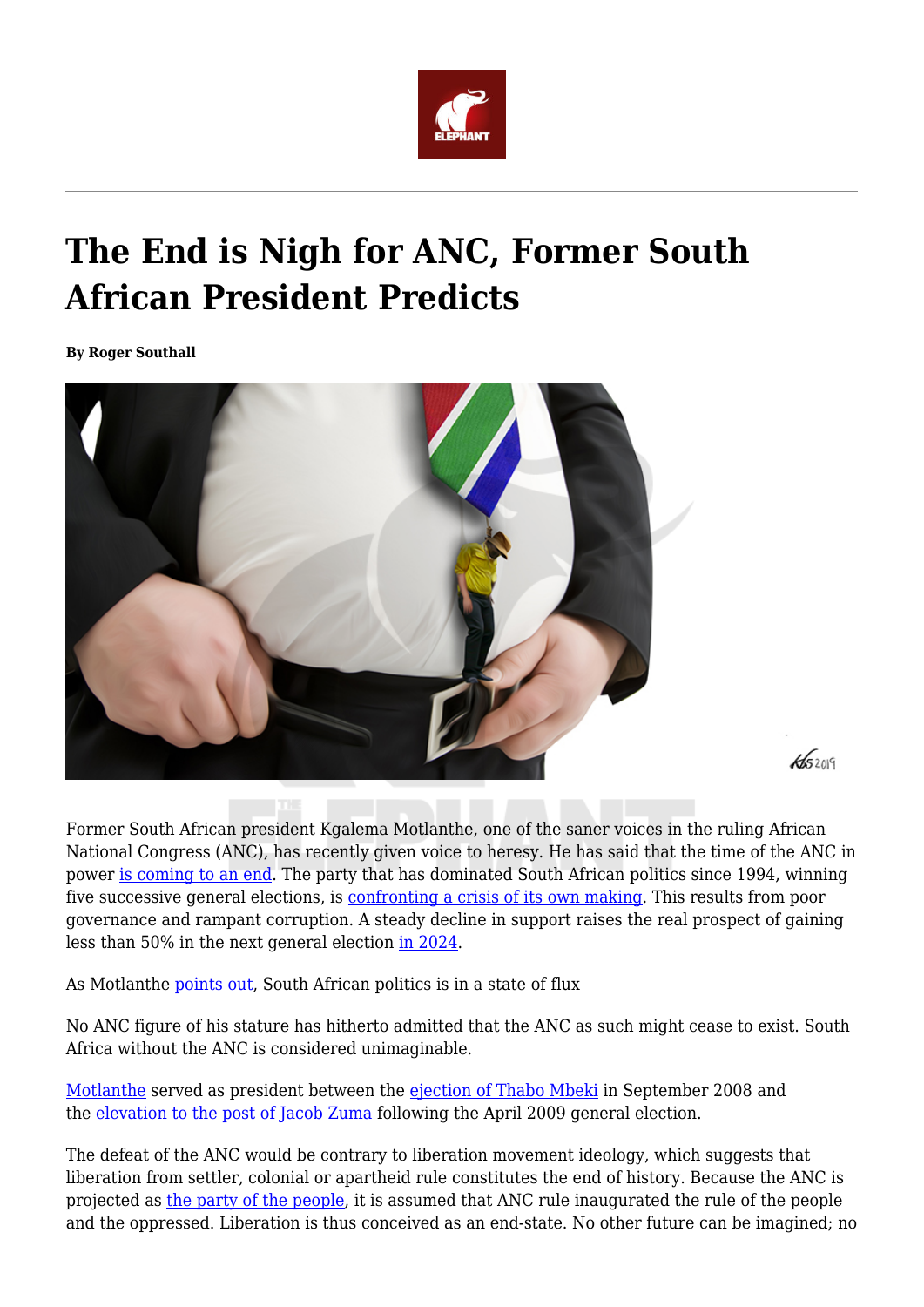

## **The End is Nigh for ANC, Former South African President Predicts**

**By Roger Southall**



Former South African president Kgalema Motlanthe, one of the saner voices in the ruling African National Congress (ANC), has recently given voice to heresy. He has said that the time of the ANC in power [is coming to an end](https://www.businesslive.co.za/bd/politics/2022-04-06-no-dominant-role-for-anc-in-future-says-kgalema-motlanthe/). The party that has dominated South African politics since 1994, winning five successive general elections, is [confronting a crisis of its own making](https://www.loot.co.za/product/ralph-mathekga-the-anc-s-last-decade/vjvm-7311-ga40). This results from poor governance and rampant corruption. A steady decline in support raises the real prospect of gaining less than 50% in the next general election [in 2024.](https://issafrica.org/iss-today/south-africas-future-is-tied-to-anc-leadership-and-election-battles)

 $45209$ 

As Motlanthe [points out](https://www.businesslive.co.za/bd/politics/2022-04-06-no-dominant-role-for-anc-in-future-says-kgalema-motlanthe/), South African politics is in a state of flux

No ANC figure of his stature has hitherto admitted that the ANC as such might cease to exist. South Africa without the ANC is considered unimaginable.

[Motlanthe](https://www.thepresidency.gov.za/profiles/former-president-kgalema-motlanthe) served as president between the [ejection of Thabo Mbeki](https://www.reuters.com/article/us-safrica-politics-mbeki-idUSWEA015020080920) in September 2008 and the [elevation to the post of Jacob Zuma](https://www.thepresidency.gov.za/profiles/president-jacob-zuma-0) following the April 2009 general election.

The defeat of the ANC would be contrary to liberation movement ideology, which suggests that liberation from settler, colonial or apartheid rule constitutes the end of history. Because the ANC is projected as [the party of the people](https://theconversation.com/the-anc-insists-its-still-a-political-vanguard-this-is-what-ails-democracy-in-south-africa-141938), it is assumed that ANC rule inaugurated the rule of the people and the oppressed. Liberation is thus conceived as an end-state. No other future can be imagined; no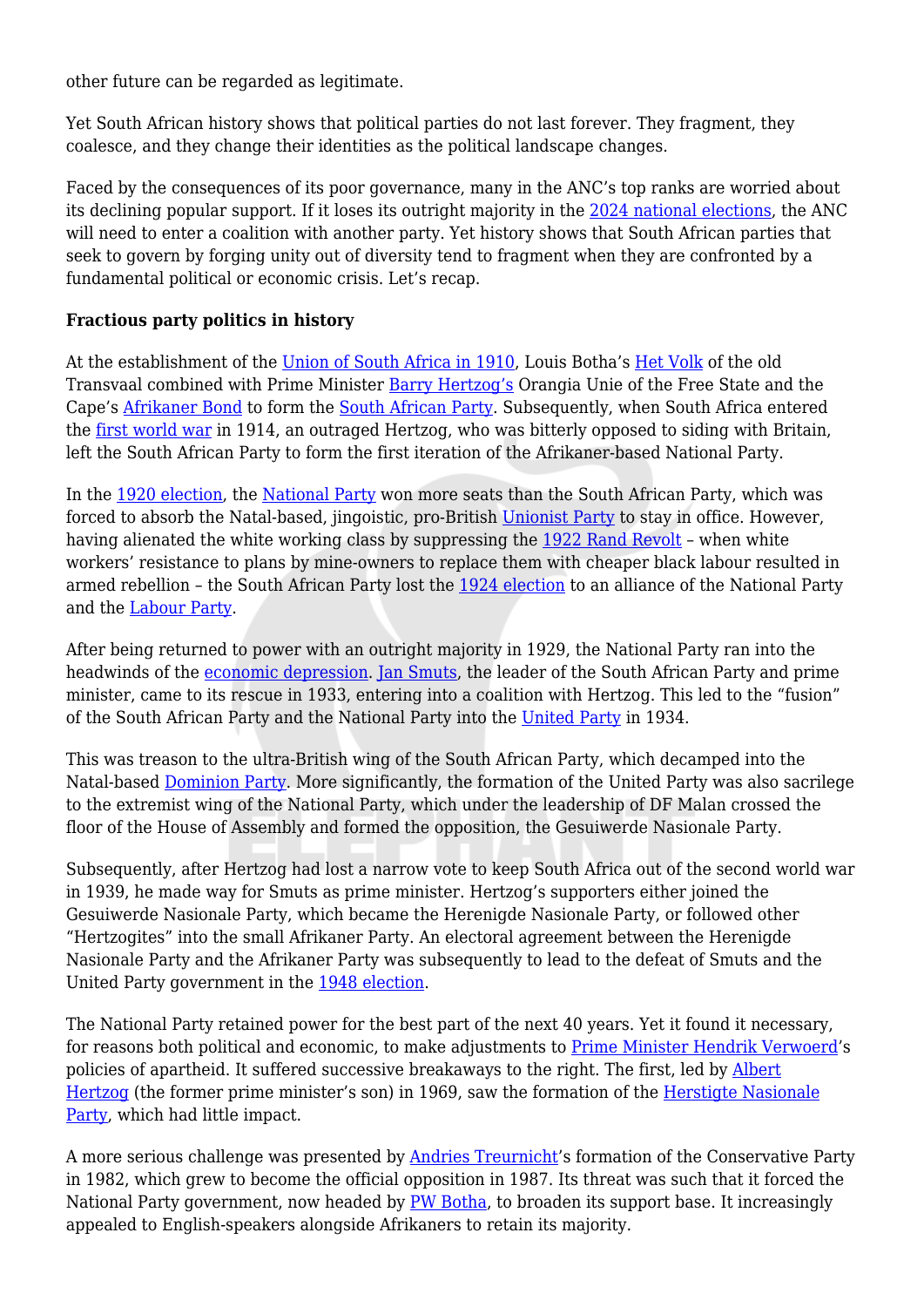other future can be regarded as legitimate.

Yet South African history shows that political parties do not last forever. They fragment, they coalesce, and they change their identities as the political landscape changes.

Faced by the consequences of its poor governance, many in the ANC's top ranks are worried about its declining popular support. If it loses its outright majority in the [2024 national elections](https://www.eisa.org/wep/southafrica.htm), the ANC will need to enter a coalition with another party. Yet history shows that South African parties that seek to govern by forging unity out of diversity tend to fragment when they are confronted by a fundamental political or economic crisis. Let's recap.

## **Fractious party politics in history**

At the establishment of the [Union of South Africa in 1910,](https://www.sahistory.org.za/article/union-south-africa-1910) Louis Botha's [Het Volk](https://www.britannica.com/biography/Louis-Botha) of the old Transvaal combined with Prime Minister [Barry Hertzog's](https://www.sahistory.org.za/people/james-barry-munnik-hertzog) Orangia Unie of the Free State and the Cape's [Afrikaner Bond](https://www.britannica.com/topic/Afrikaner-Bond) to form the [South African Party.](https://www.britannica.com/topic/South-African-Party) Subsequently, when South Africa entered the [first world war](https://en.unesco.org/courier/news-views-online/first-world-war-and-its-consequences-africa) in 1914, an outraged Hertzog, who was bitterly opposed to siding with Britain, left the South African Party to form the first iteration of the Afrikaner-based National Party.

In the [1920 election,](https://www.sahistory.org.za/article/south-africas-electoral-history-timeline-1910-2009) the [National Party](https://www.sahistory.org.za/article/national-party-np) won more seats than the South African Party, which was forced to absorb the Natal-based, jingoistic, pro-British [Unionist Party](https://omalley.nelsonmandela.org/omalley/index.php/site/q/03lv03445/04lv03446/05lv03514.htm) to stay in office. However, having alienated the white working class by suppressing the [1922 Rand Revolt](https://www.sahistory.org.za/article/rand-rebellion-1922) – when white workers' resistance to plans by mine-owners to replace them with cheaper black labour resulted in armed rebellion – the South African Party lost the [1924 election](https://www.tandfonline.com/doi/abs/10.1080/00358534808451522?journalCode=ctrt20) to an alliance of the National Party and the [Labour Party](https://open.uct.ac.za/handle/11427/9929).

After being returned to power with an outright majority in 1929, the National Party ran into the headwinds of the [economic depression](https://www.tandfonline.com/doi/abs/10.1080/20780389.1990.10417176). [Jan Smuts,](https://www.britannica.com/biography/Jan-Smuts) the leader of the South African Party and prime minister, came to its rescue in 1933, entering into a coalition with Hertzog. This led to the "fusion" of the South African Party and the National Party into the [United Party](https://www.britannica.com/topic/United-Party) in 1934.

This was treason to the ultra-British wing of the South African Party, which decamped into the Natal-based [Dominion Party](https://artsandculture.google.com/entity/dominion-party/m0kg3c8k?hl=en). More significantly, the formation of the United Party was also sacrilege to the extremist wing of the National Party, which under the leadership of DF Malan crossed the floor of the House of Assembly and formed the opposition, the Gesuiwerde Nasionale Party.

Subsequently, after Hertzog had lost a narrow vote to keep South Africa out of the second world war in 1939, he made way for Smuts as prime minister. Hertzog's supporters either joined the Gesuiwerde Nasionale Party, which became the Herenigde Nasionale Party, or followed other "Hertzogites" into the small Afrikaner Party. An electoral agreement between the Herenigde Nasionale Party and the Afrikaner Party was subsequently to lead to the defeat of Smuts and the United Party government in the [1948 election.](https://theconversation.com/remembering-south-africas-catastrophe-the-1948-poll-that-heralded-apartheid-96928)

The National Party retained power for the best part of the next 40 years. Yet it found it necessary, for reasons both political and economic, to make adjustments to [Prime Minister Hendrik Verwoerd](https://www.sahistory.org.za/people/hendrik-frensch-verwoerd)'s policies of apartheid. It suffered successive breakaways to the right. The first, led by [Albert](https://journals.co.za/doi/full/10.18820/24150509/SJCH46.v1.4) [Hertzog](https://journals.co.za/doi/full/10.18820/24150509/SJCH46.v1.4) (the former prime minister's son) in 1969, saw the formation of the [Herstigte Nasionale](https://omalley.nelsonmandela.org/omalley/index.php/site/q/03lv03445/04lv03446/05lv03472.htm) [Party](https://omalley.nelsonmandela.org/omalley/index.php/site/q/03lv03445/04lv03446/05lv03472.htm), which had little impact.

A more serious challenge was presented by [Andries Treurnicht'](https://www.sahistory.org.za/people/andries-treurnicht)s formation of the Conservative Party in 1982, which grew to become the official opposition in 1987. Its threat was such that it forced the National Party government, now headed by [PW Botha,](https://www.britannica.com/biography/P-W-Botha) to broaden its support base. It increasingly appealed to English-speakers alongside Afrikaners to retain its majority.